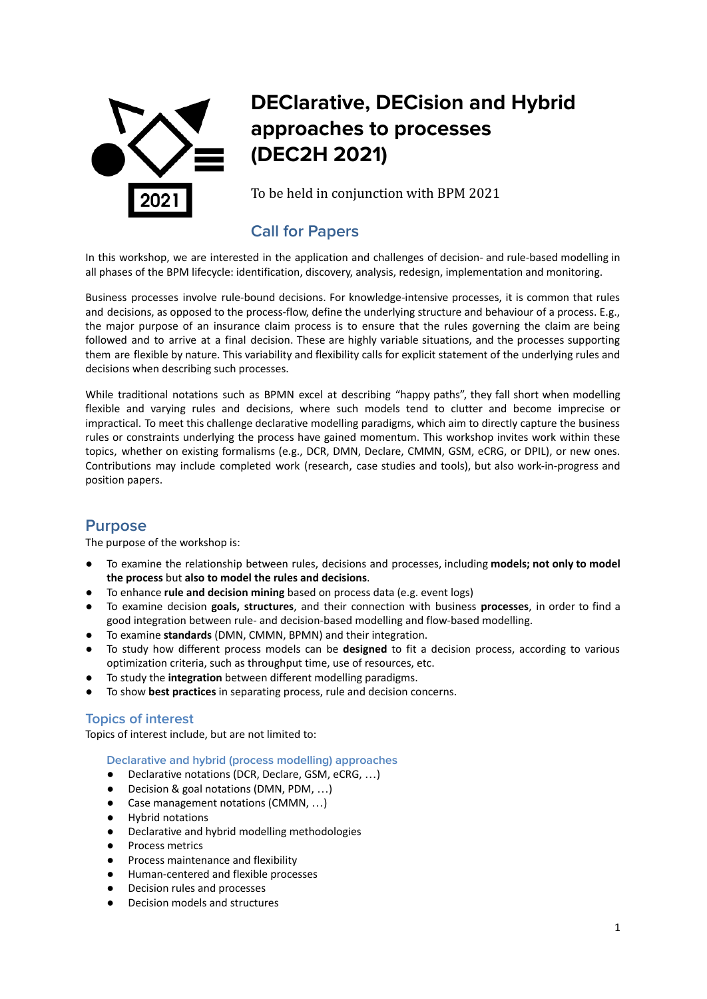

# **DEClarative, DECision and Hybrid approaches to processes (DEC2H 2021)**

To be held in conjunction with BPM 2021

## **Call for Papers**

In this workshop, we are interested in the application and challenges of decision- and rule-based modelling in all phases of the BPM lifecycle: identification, discovery, analysis, redesign, implementation and monitoring.

Business processes involve rule-bound decisions. For knowledge-intensive processes, it is common that rules and decisions, as opposed to the process-flow, define the underlying structure and behaviour of a process. E.g., the major purpose of an insurance claim process is to ensure that the rules governing the claim are being followed and to arrive at a final decision. These are highly variable situations, and the processes supporting them are flexible by nature. This variability and flexibility calls for explicit statement of the underlying rules and decisions when describing such processes.

While traditional notations such as BPMN excel at describing "happy paths", they fall short when modelling flexible and varying rules and decisions, where such models tend to clutter and become imprecise or impractical. To meet this challenge declarative modelling paradigms, which aim to directly capture the business rules or constraints underlying the process have gained momentum. This workshop invites work within these topics, whether on existing formalisms (e.g., DCR, DMN, Declare, CMMN, GSM, eCRG, or DPIL), or new ones. Contributions may include completed work (research, case studies and tools), but also work-in-progress and position papers.

## **Purpose**

The purpose of the workshop is:

- To examine the relationship between rules, decisions and processes, including **models; not only to model the process** but **also to model the rules and decisions**.
- To enhance **rule and decision mining** based on process data (e.g. event logs)
- To examine decision **goals, structures**, and their connection with business **processes**, in order to find a good integration between rule- and decision-based modelling and flow-based modelling.
- To examine **standards** (DMN, CMMN, BPMN) and their integration.
- To study how different process models can be **designed** to fit a decision process, according to various optimization criteria, such as throughput time, use of resources, etc.
- To study the **integration** between different modelling paradigms.
- To show best practices in separating process, rule and decision concerns.

#### **Topics of interest**

Topics of interest include, but are not limited to:

**Declarative and hybrid (process modelling) approaches**

- Declarative notations (DCR, Declare, GSM, eCRG, ...)
- Decision & goal notations (DMN, PDM, ...)
- Case management notations (CMMN, ...)
- Hybrid notations
- Declarative and hybrid modelling methodologies
- Process metrics
- Process maintenance and flexibility
- Human-centered and flexible processes
- Decision rules and processes
- Decision models and structures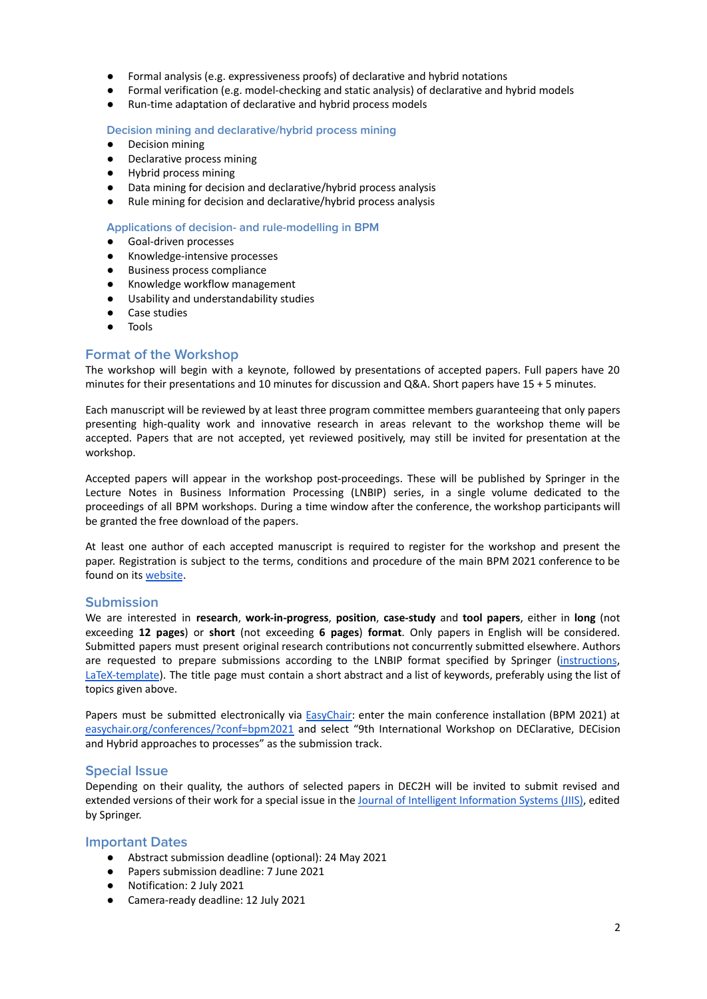- Formal analysis (e.g. expressiveness proofs) of declarative and hybrid notations
- Formal verification (e.g. model-checking and static analysis) of declarative and hybrid models
- Run-time adaptation of declarative and hybrid process models

**Decision mining and declarative/hybrid process mining**

- Decision mining
- Declarative process mining
- Hybrid process mining
- Data mining for decision and declarative/hybrid process analysis
- Rule mining for decision and declarative/hybrid process analysis

#### **Applications of decision- and rule-modelling in BPM**

- Goal-driven processes
- Knowledge-intensive processes
- Business process compliance
- Knowledge workflow management
- Usability and understandability studies
- Case studies
- Tools

#### **Format of the Workshop**

The workshop will begin with a keynote, followed by presentations of accepted papers. Full papers have 20 minutes for their presentations and 10 minutes for discussion and Q&A. Short papers have 15 + 5 minutes.

Each manuscript will be reviewed by at least three program committee members guaranteeing that only papers presenting high-quality work and innovative research in areas relevant to the workshop theme will be accepted. Papers that are not accepted, yet reviewed positively, may still be invited for presentation at the workshop.

Accepted papers will appear in the workshop post-proceedings. These will be published by Springer in the Lecture Notes in Business Information Processing (LNBIP) series, in a single volume dedicated to the proceedings of all BPM workshops. During a time window after the conference, the workshop participants will be granted the free download of the papers.

At least one author of each accepted manuscript is required to register for the workshop and present the paper. Registration is subject to the terms, conditions and procedure of the main BPM 2021 conference to be found on its [website](https://bpm2021.diag.uniroma1.it/).

#### **Submission**

We are interested in **research**, **work-in-progress**, **position**, **case-study** and **tool papers**, either in **long** (not exceeding **12 pages**) or **short** (not exceeding **6 pages**) **format**. Only papers in English will be considered. Submitted papers must present original research contributions not concurrently submitted elsewhere. Authors are requested to prepare submissions according to the LNBIP format specified by Springer [\(instructions](https://www.springer.com/computer/lncs?SGWID=0-164-6-791344-0), [LaTeX-template](ftp://ftp.springer.de/pub/tex/latex/lnbip/author.zip)). The title page must contain a short abstract and a list of keywords, preferably using the list of topics given above.

Papers must be submitted electronically via [EasyChair:](https://easychair.org/conferences/?conf=bpm2021) enter the main conference installation (BPM 2021) at [easychair.org/conferences/?conf=bpm2021](https://easychair.org/conferences/?conf=bpm2021) and select "9th International Workshop on DEClarative, DECision and Hybrid approaches to processes" as the submission track.

#### **Special Issue**

Depending on their quality, the authors of selected papers in DEC2H will be invited to submit revised and extended versions of their work for a special issue in the Journal of Intelligent [Information](https://www.springer.com/journal/10844) Systems (JIIS), edited by Springer.

#### **Important Dates**

- Abstract submission deadline (optional): 24 May 2021
- Papers submission deadline: 7 June 2021
- Notification: 2 July 2021
- Camera-ready deadline: 12 July 2021